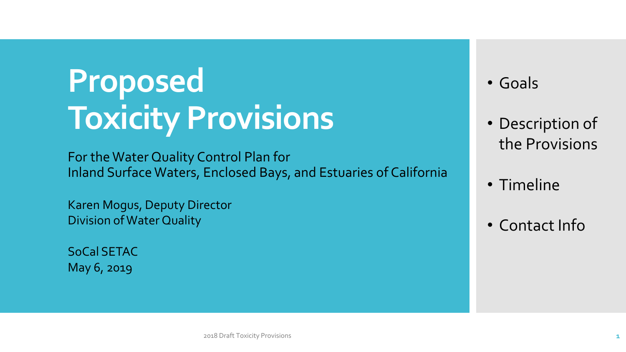# **Proposed Toxicity Provisions**

For the Water Quality Control Plan for Inland Surface Waters, Enclosed Bays, and Estuaries of California

Karen Mogus, Deputy Director Division of Water Quality

SoCal SETAC May 6, 2019

#### • Goals

- Description of the Provisions
- Timeline
- Contact Info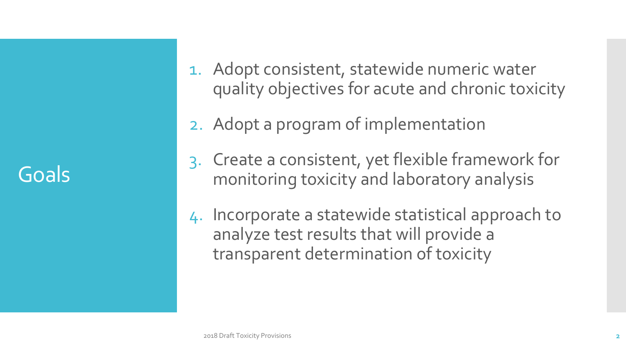Goals

- 1. Adopt consistent, statewide numeric water quality objectives for acute and chronic toxicity
- 2. Adopt a program of implementation
- 3. Create a consistent, yet flexible framework for monitoring toxicity and laboratory analysis
- 4. Incorporate a statewide statistical approach to analyze test results that will provide a transparent determination of toxicity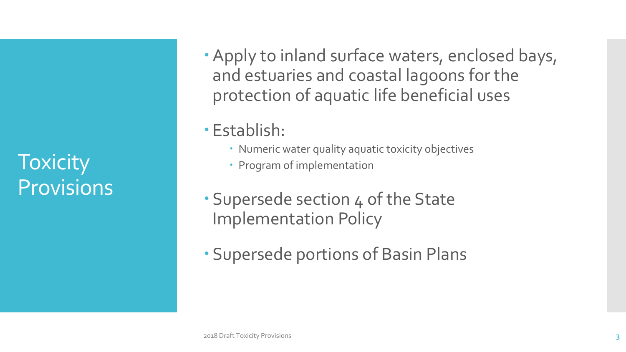**Toxicity Provisions** 

- Apply to inland surface waters, enclosed bays, and estuaries and coastal lagoons for the protection of aquatic life beneficial uses
- Establish:
	- Numeric water quality aquatic toxicity objectives
	- Program of implementation
- Supersede section 4 of the State Implementation Policy
- Supersede portions of Basin Plans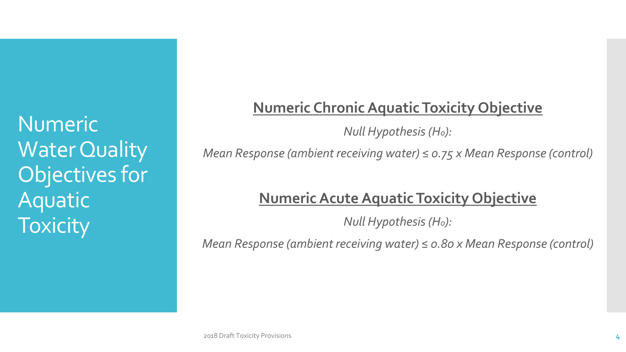Numeric Water Quality Objectives for Aquatic **Toxicity** 

### **Numeric Chronic Aquatic Toxicity Objective**

*Null Hypothesis (Ho):* 

*Mean Response (ambient receiving water) ≤ 0.75 x Mean Response (control)*

### **Numeric Acute Aquatic Toxicity Objective**

*Null Hypothesis (Ho):* 

*Mean Response (ambient receiving water) ≤ 0.80 x Mean Response (control)*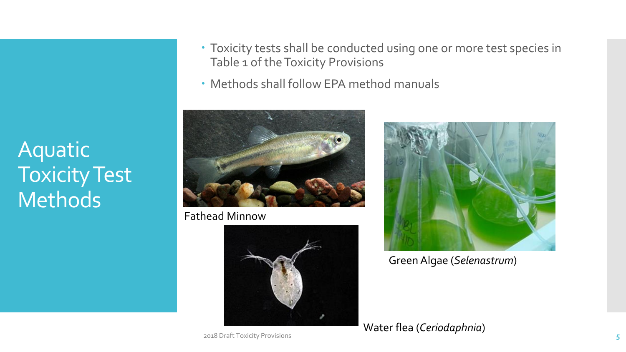Aquatic Toxicity Test Methods

- Toxicity tests shall be conducted using one or more test species in Table 1 of the Toxicity Provisions
- Methods shall follow EPA method manuals



Fathead Minnow





Green Algae (*Selenastrum*)

Water flea (*Ceriodaphnia*)

2018 Draft Toxicity Provisions **5**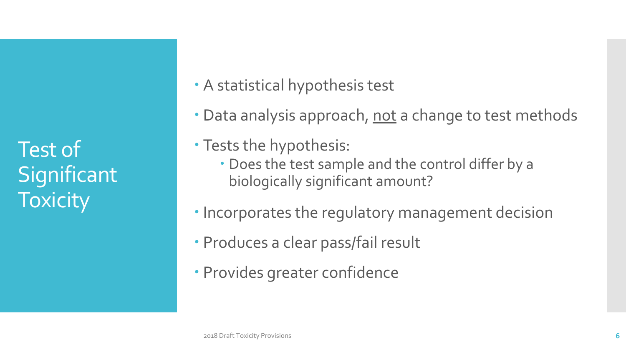Test of **Significant Toxicity** 

A statistical hypothesis test

- Data analysis approach, not a change to test methods
- Tests the hypothesis:
	- Does the test sample and the control differ by a biologically significant amount?
- Incorporates the regulatory management decision
- Produces a clear pass/fail result
- Provides greater confidence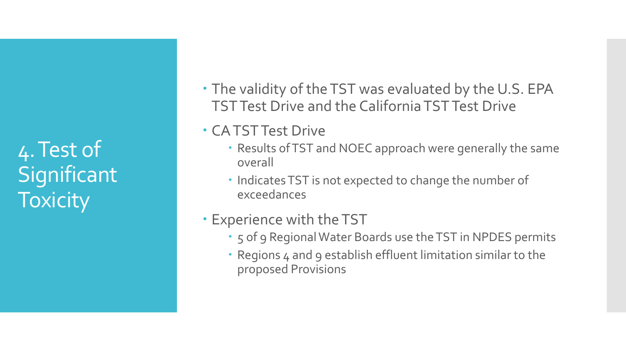4. Test of **Significant Toxicity** 

- The validity of the TST was evaluated by the U.S. EPA TST Test Drive and the California TST Test Drive
- CA TST Test Drive
	- Results of TST and NOEC approach were generally the same overall
	- Indicates TST is not expected to change the number of exceedances
- Experience with the TST
	- 5 of 9 Regional Water Boards use the TST in NPDES permits
	- Regions 4 and 9 establish effluent limitation similar to the proposed Provisions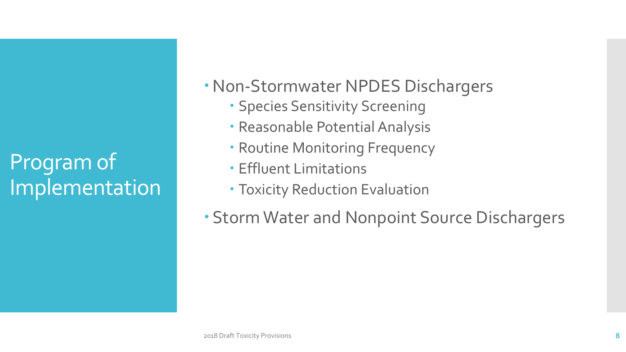# Program of Implementation

- Non-Stormwater NPDES Dischargers
	- **· Species Sensitivity Screening**
	- Reasonable Potential Analysis
	- Routine Monitoring Frequency
	- Effluent Limitations
	- Toxicity Reduction Evaluation
- Storm Water and Nonpoint Source Dischargers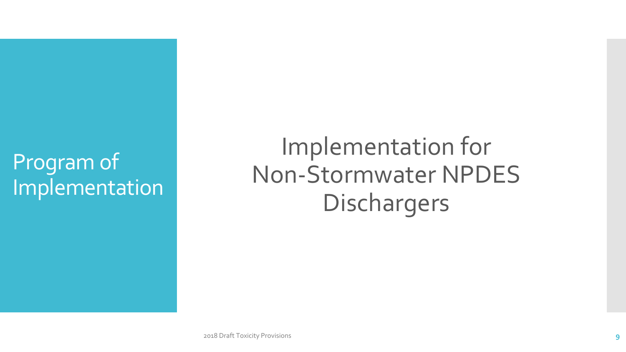### Program of Implementation

Implementation for Non-Stormwater NPDES Dischargers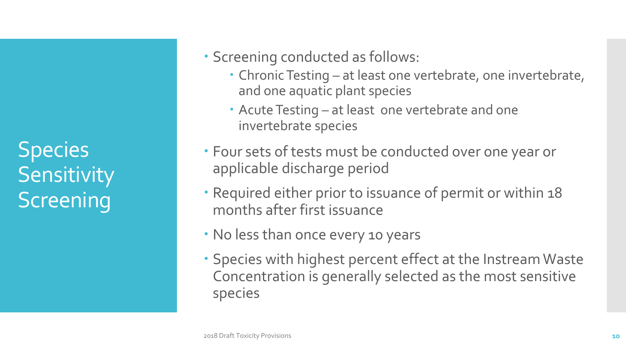Species **Sensitivity Screening** 

### Screening conducted as follows:

- Chronic Testing at least one vertebrate, one invertebrate, and one aquatic plant species
- Acute Testing at least one vertebrate and one invertebrate species
- Four sets of tests must be conducted over one year or applicable discharge period
- Required either prior to issuance of permit or within 18 months after first issuance
- No less than once every 10 years
- Species with highest percent effect at the Instream Waste Concentration is generally selected as the most sensitive species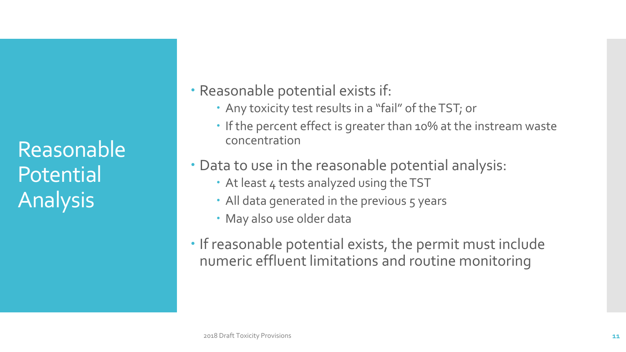Reasonable Potential Analysis

#### Reasonable potential exists if:

- Any toxicity test results in a "fail" of the TST; or
- If the percent effect is greater than 10% at the instream waste concentration
- Data to use in the reasonable potential analysis:
	- At least 4 tests analyzed using the TST
	- All data generated in the previous 5 years
	- May also use older data
- If reasonable potential exists, the permit must include numeric effluent limitations and routine monitoring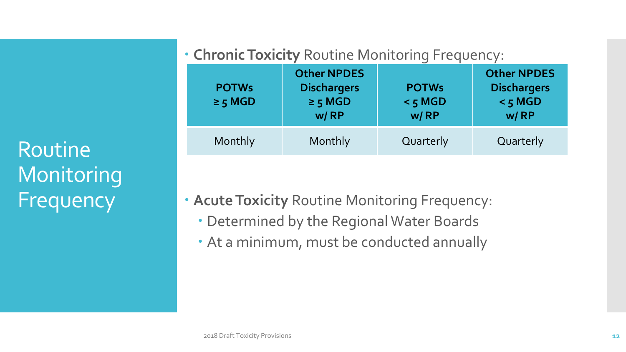Routine **Monitoring** Frequency

#### **Chronic Toxicity** Routine Monitoring Frequency:

| <b>POTWs</b><br>$\geq$ 5 MGD | <b>Other NPDES</b><br><b>Dischargers</b><br>$\geq$ 5 MGD<br>w/RP | <b>POTWs</b><br>$<$ 5 MGD<br>w/RP | <b>Other NPDES</b><br><b>Dischargers</b><br>$<$ 5 MGD<br>w/RP |
|------------------------------|------------------------------------------------------------------|-----------------------------------|---------------------------------------------------------------|
| Monthly                      | Monthly                                                          | Quarterly                         | Quarterly                                                     |

- **Acute Toxicity** Routine Monitoring Frequency:
	- Determined by the Regional Water Boards
	- At a minimum, must be conducted annually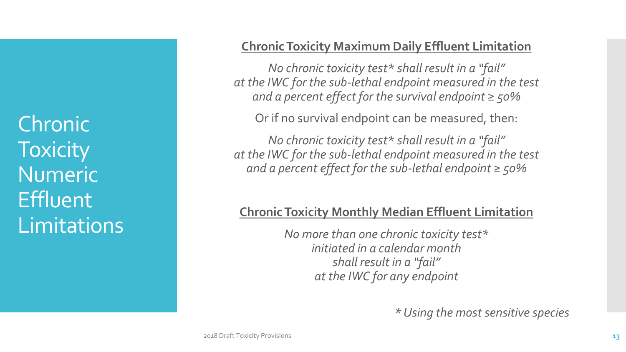Chronic **Toxicity** Numeric **Effluent** Limitations

#### **Chronic Toxicity Maximum Daily Effluent Limitation**

*No chronic toxicity test\* shall result in a "fail" at the IWC for the sub-lethal endpoint measured in the test and a percent effect for the survival endpoint ≥ 50%*

Or if no survival endpoint can be measured, then:

*No chronic toxicity test\* shall result in a "fail" at the IWC for the sub-lethal endpoint measured in the test and a percent effect for the sub-lethal endpoint ≥ 50%*

#### **Chronic Toxicity Monthly Median Effluent Limitation**

*No more than one chronic toxicity test\* initiated in a calendar month shall result in a "fail" at the IWC for any endpoint*

*\* Using the most sensitive species*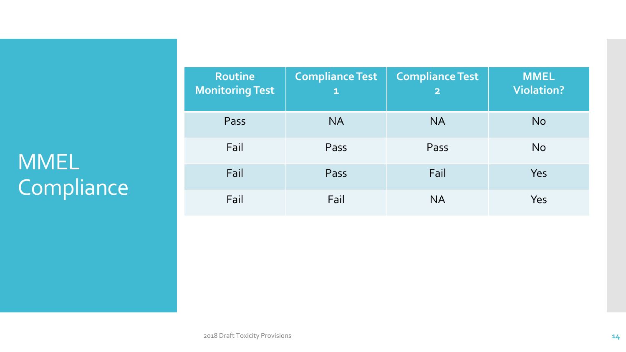# MMEL Compliance

| Routine<br><b>Monitoring Test</b> | <b>Compliance Test</b><br>$\mathbf{1}$ | <b>Compliance Test</b><br>$\overline{\mathbf{2}}$ | <b>MMEL</b><br><b>Violation?</b> |
|-----------------------------------|----------------------------------------|---------------------------------------------------|----------------------------------|
| Pass                              | <b>NA</b>                              | <b>NA</b>                                         | <b>No</b>                        |
| Fail                              | Pass                                   | Pass                                              | <b>No</b>                        |
| Fail                              | Pass                                   | Fail                                              | Yes                              |
| Fail                              | Fail                                   | <b>NA</b>                                         | Yes                              |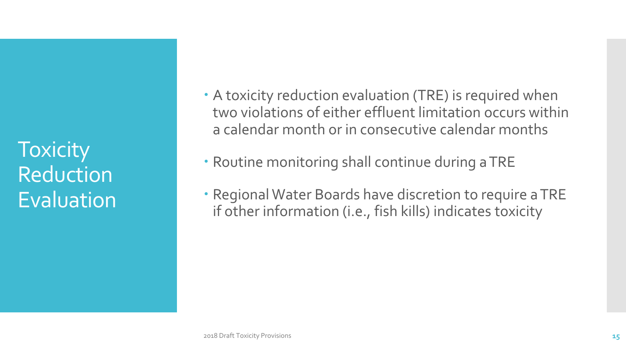**Toxicity** Reduction Evaluation  A toxicity reduction evaluation (TRE) is required when two violations of either effluent limitation occurs within a calendar month or in consecutive calendar months

- Routine monitoring shall continue during a TRE
- Regional Water Boards have discretion to require a TRE if other information (i.e., fish kills) indicates toxicity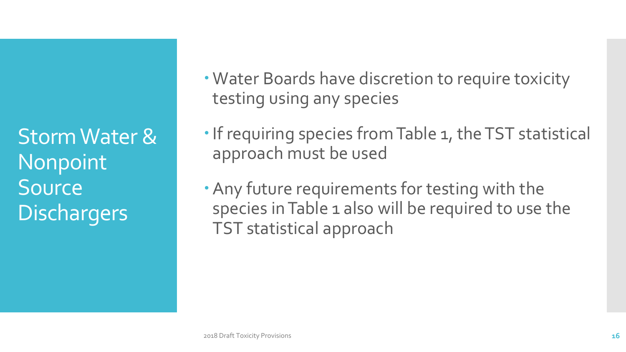Storm Water & Nonpoint Source **Dischargers** 

- Water Boards have discretion to require toxicity testing using any species
- If requiring species from Table 1, the TST statistical approach must be used
- Any future requirements for testing with the species in Table 1 also will be required to use the TST statistical approach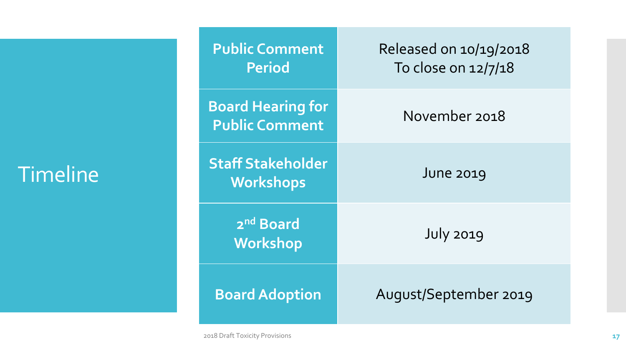### Timeline

| <b>Public Comment</b><br><b>Period</b>            | Released on 10/19/2018<br>To close on 12/7/18 |
|---------------------------------------------------|-----------------------------------------------|
| <b>Board Hearing for</b><br><b>Public Comment</b> | November 2018                                 |
| <b>Staff Stakeholder</b><br><b>Workshops</b>      | <b>June 2019</b>                              |
| 2 <sup>nd</sup> Board<br>Workshop                 | <b>July 2019</b>                              |
| <b>Board Adoption</b>                             | August/September 2019                         |

2018 Draft Toxicity Provisions **17**